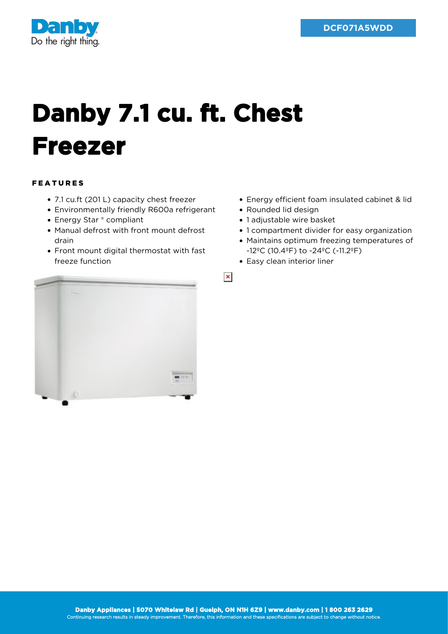

## **Danby 7.1 cu. ft. Chest Freezer**

## FEATURES

- 7.1 cu.ft (201 L) capacity chest freezer
- Environmentally friendly R600a refrigerant
- Energy Star ® compliant
- Manual defrost with front mount defrost drain
- Front mount digital thermostat with fast freeze function
- Energy efficient foam insulated cabinet & lid
- Rounded lid design
- 1 adjustable wire basket
- 1 compartment divider for easy organization
- Maintains optimum freezing temperatures of -12ºC (10.4ºF) to -24ºC (-11.2ºF)
- Easy clean interior liner

 $\pmb{\times}$